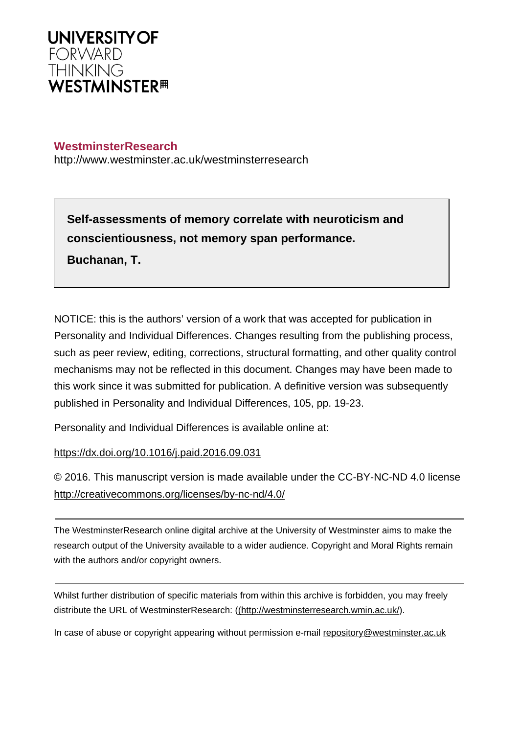

# **WestminsterResearch**

http://www.westminster.ac.uk/westminsterresearch

**Self-assessments of memory correlate with neuroticism and conscientiousness, not memory span performance. Buchanan, T.**

NOTICE: this is the authors' version of a work that was accepted for publication in Personality and Individual Differences. Changes resulting from the publishing process, such as peer review, editing, corrections, structural formatting, and other quality control mechanisms may not be reflected in this document. Changes may have been made to this work since it was submitted for publication. A definitive version was subsequently published in Personality and Individual Differences, 105, pp. 19-23.

Personality and Individual Differences is available online at:

<https://dx.doi.org/10.1016/j.paid.2016.09.031>

© 2016. This manuscript version is made available under the CC-BY-NC-ND 4.0 license <http://creativecommons.org/licenses/by-nc-nd/4.0/>

The WestminsterResearch online digital archive at the University of Westminster aims to make the research output of the University available to a wider audience. Copyright and Moral Rights remain with the authors and/or copyright owners.

Whilst further distribution of specific materials from within this archive is forbidden, you may freely distribute the URL of WestminsterResearch: [\(\(http://westminsterresearch.wmin.ac.uk/](http://westminsterresearch.wmin.ac.uk/)).

In case of abuse or copyright appearing without permission e-mail <repository@westminster.ac.uk>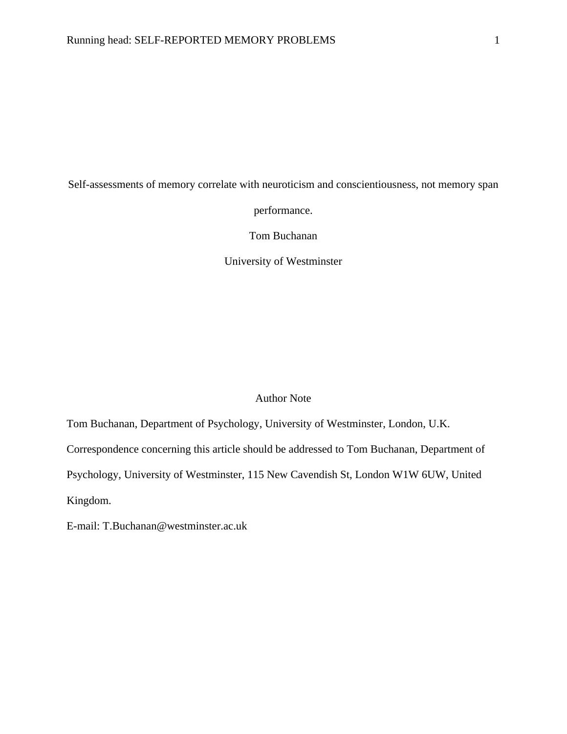Self-assessments of memory correlate with neuroticism and conscientiousness, not memory span

performance.

Tom Buchanan

University of Westminster

### Author Note

Tom Buchanan, Department of Psychology, University of Westminster, London, U.K.

Correspondence concerning this article should be addressed to Tom Buchanan, Department of

Psychology, University of Westminster, 115 New Cavendish St, London W1W 6UW, United

Kingdom.

E-mail: T.Buchanan@westminster.ac.uk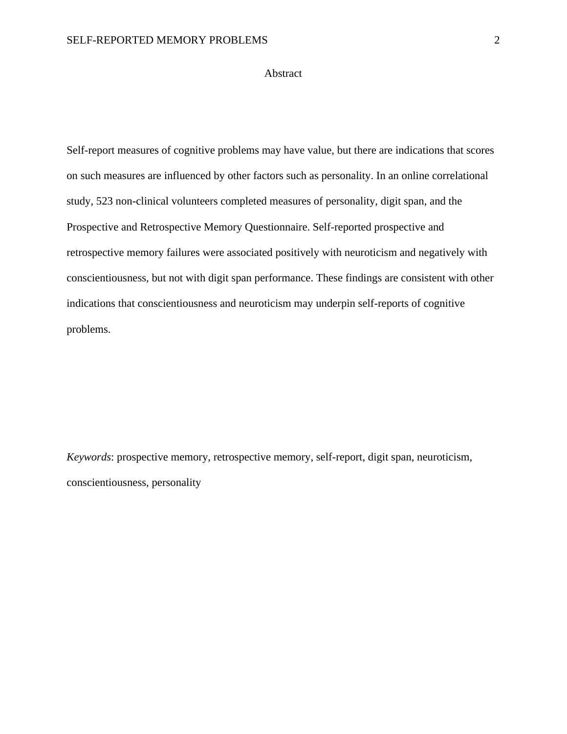### Abstract

Self-report measures of cognitive problems may have value, but there are indications that scores on such measures are influenced by other factors such as personality. In an online correlational study, 523 non-clinical volunteers completed measures of personality, digit span, and the Prospective and Retrospective Memory Questionnaire. Self-reported prospective and retrospective memory failures were associated positively with neuroticism and negatively with conscientiousness, but not with digit span performance. These findings are consistent with other indications that conscientiousness and neuroticism may underpin self-reports of cognitive problems.

*Keywords*: prospective memory, retrospective memory, self-report, digit span, neuroticism, conscientiousness, personality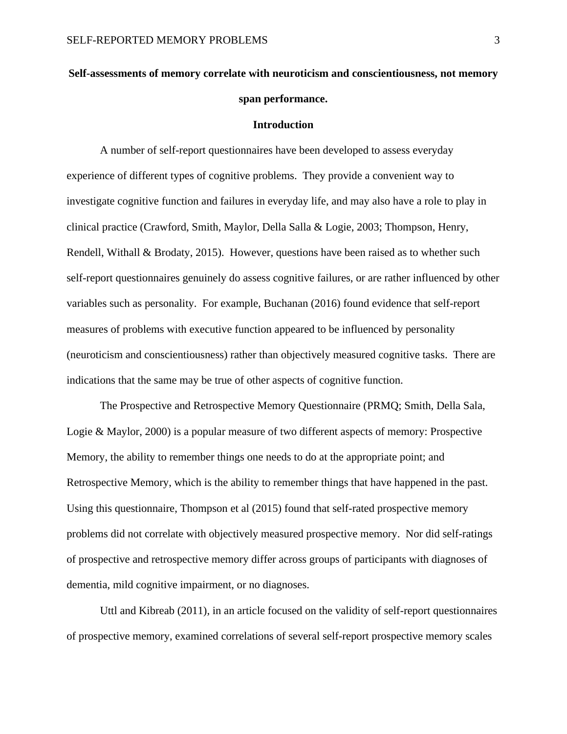# **Self-assessments of memory correlate with neuroticism and conscientiousness, not memory span performance.**

#### **Introduction**

A number of self-report questionnaires have been developed to assess everyday experience of different types of cognitive problems. They provide a convenient way to investigate cognitive function and failures in everyday life, and may also have a role to play in clinical practice (Crawford, Smith, Maylor, Della Salla & Logie, 2003; Thompson, Henry, Rendell, Withall & Brodaty, 2015). However, questions have been raised as to whether such self-report questionnaires genuinely do assess cognitive failures, or are rather influenced by other variables such as personality. For example, Buchanan (2016) found evidence that self-report measures of problems with executive function appeared to be influenced by personality (neuroticism and conscientiousness) rather than objectively measured cognitive tasks. There are indications that the same may be true of other aspects of cognitive function.

The Prospective and Retrospective Memory Questionnaire (PRMQ; Smith, Della Sala, Logie & Maylor, 2000) is a popular measure of two different aspects of memory: Prospective Memory, the ability to remember things one needs to do at the appropriate point; and Retrospective Memory, which is the ability to remember things that have happened in the past. Using this questionnaire, Thompson et al (2015) found that self-rated prospective memory problems did not correlate with objectively measured prospective memory. Nor did self-ratings of prospective and retrospective memory differ across groups of participants with diagnoses of dementia, mild cognitive impairment, or no diagnoses.

Uttl and Kibreab (2011), in an article focused on the validity of self-report questionnaires of prospective memory, examined correlations of several self-report prospective memory scales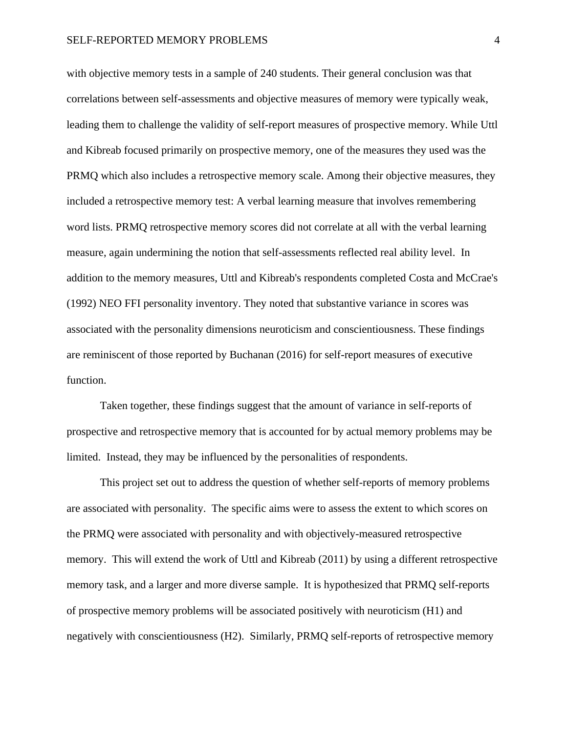with objective memory tests in a sample of 240 students. Their general conclusion was that correlations between self-assessments and objective measures of memory were typically weak, leading them to challenge the validity of self-report measures of prospective memory. While Uttl and Kibreab focused primarily on prospective memory, one of the measures they used was the PRMQ which also includes a retrospective memory scale. Among their objective measures, they included a retrospective memory test: A verbal learning measure that involves remembering word lists. PRMQ retrospective memory scores did not correlate at all with the verbal learning measure, again undermining the notion that self-assessments reflected real ability level. In addition to the memory measures, Uttl and Kibreab's respondents completed Costa and McCrae's (1992) NEO FFI personality inventory. They noted that substantive variance in scores was associated with the personality dimensions neuroticism and conscientiousness. These findings are reminiscent of those reported by Buchanan (2016) for self-report measures of executive function.

Taken together, these findings suggest that the amount of variance in self-reports of prospective and retrospective memory that is accounted for by actual memory problems may be limited. Instead, they may be influenced by the personalities of respondents.

This project set out to address the question of whether self-reports of memory problems are associated with personality. The specific aims were to assess the extent to which scores on the PRMQ were associated with personality and with objectively-measured retrospective memory. This will extend the work of Uttl and Kibreab (2011) by using a different retrospective memory task, and a larger and more diverse sample. It is hypothesized that PRMQ self-reports of prospective memory problems will be associated positively with neuroticism (H1) and negatively with conscientiousness (H2). Similarly, PRMQ self-reports of retrospective memory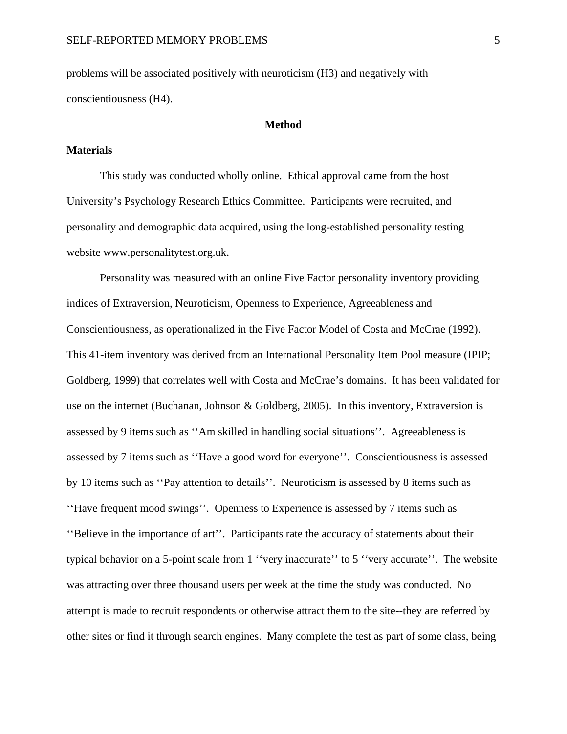problems will be associated positively with neuroticism (H3) and negatively with conscientiousness (H4).

#### **Method**

### **Materials**

This study was conducted wholly online. Ethical approval came from the host University's Psychology Research Ethics Committee. Participants were recruited, and personality and demographic data acquired, using the long-established personality testing website www.personalitytest.org.uk.

Personality was measured with an online Five Factor personality inventory providing indices of Extraversion, Neuroticism, Openness to Experience, Agreeableness and Conscientiousness, as operationalized in the Five Factor Model of Costa and McCrae (1992). This 41-item inventory was derived from an International Personality Item Pool measure (IPIP; Goldberg, 1999) that correlates well with Costa and McCrae's domains. It has been validated for use on the internet (Buchanan, Johnson & Goldberg, 2005). In this inventory, Extraversion is assessed by 9 items such as ''Am skilled in handling social situations''. Agreeableness is assessed by 7 items such as ''Have a good word for everyone''. Conscientiousness is assessed by 10 items such as ''Pay attention to details''. Neuroticism is assessed by 8 items such as ''Have frequent mood swings''. Openness to Experience is assessed by 7 items such as ''Believe in the importance of art''. Participants rate the accuracy of statements about their typical behavior on a 5-point scale from 1 ''very inaccurate'' to 5 ''very accurate''. The website was attracting over three thousand users per week at the time the study was conducted. No attempt is made to recruit respondents or otherwise attract them to the site--they are referred by other sites or find it through search engines. Many complete the test as part of some class, being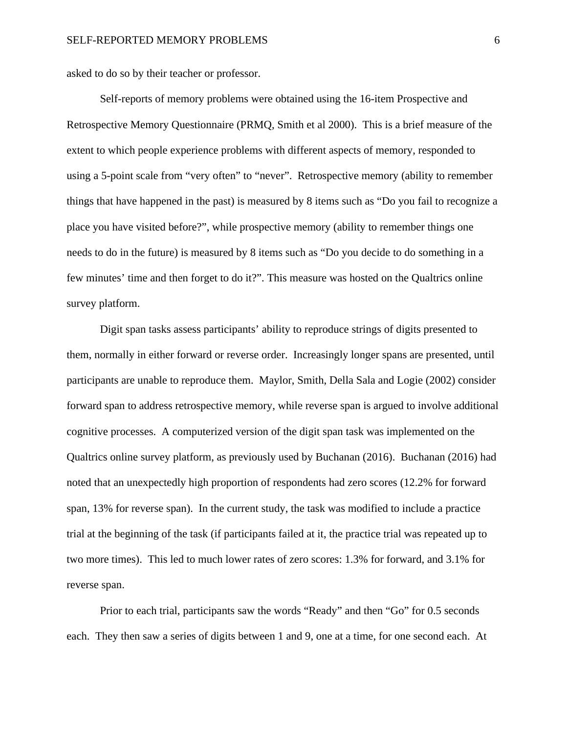asked to do so by their teacher or professor.

Self-reports of memory problems were obtained using the 16-item Prospective and Retrospective Memory Questionnaire (PRMQ, Smith et al 2000). This is a brief measure of the extent to which people experience problems with different aspects of memory, responded to using a 5-point scale from "very often" to "never". Retrospective memory (ability to remember things that have happened in the past) is measured by 8 items such as "Do you fail to recognize a place you have visited before?", while prospective memory (ability to remember things one needs to do in the future) is measured by 8 items such as "Do you decide to do something in a few minutes' time and then forget to do it?". This measure was hosted on the Qualtrics online survey platform.

Digit span tasks assess participants' ability to reproduce strings of digits presented to them, normally in either forward or reverse order. Increasingly longer spans are presented, until participants are unable to reproduce them. Maylor, Smith, Della Sala and Logie (2002) consider forward span to address retrospective memory, while reverse span is argued to involve additional cognitive processes. A computerized version of the digit span task was implemented on the Qualtrics online survey platform, as previously used by Buchanan (2016). Buchanan (2016) had noted that an unexpectedly high proportion of respondents had zero scores (12.2% for forward span, 13% for reverse span). In the current study, the task was modified to include a practice trial at the beginning of the task (if participants failed at it, the practice trial was repeated up to two more times). This led to much lower rates of zero scores: 1.3% for forward, and 3.1% for reverse span.

Prior to each trial, participants saw the words "Ready" and then "Go" for 0.5 seconds each. They then saw a series of digits between 1 and 9, one at a time, for one second each. At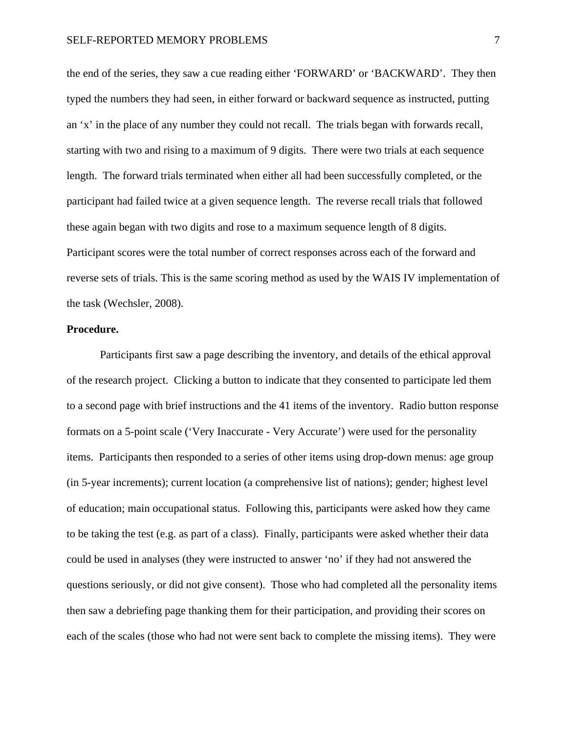the end of the series, they saw a cue reading either 'FORWARD' or 'BACKWARD'. They then typed the numbers they had seen, in either forward or backward sequence as instructed, putting an 'x' in the place of any number they could not recall. The trials began with forwards recall, starting with two and rising to a maximum of 9 digits. There were two trials at each sequence length. The forward trials terminated when either all had been successfully completed, or the participant had failed twice at a given sequence length. The reverse recall trials that followed these again began with two digits and rose to a maximum sequence length of 8 digits. Participant scores were the total number of correct responses across each of the forward and reverse sets of trials. This is the same scoring method as used by the WAIS IV implementation of the task (Wechsler, 2008).

### **Procedure.**

Participants first saw a page describing the inventory, and details of the ethical approval of the research project. Clicking a button to indicate that they consented to participate led them to a second page with brief instructions and the 41 items of the inventory. Radio button response formats on a 5-point scale ('Very Inaccurate - Very Accurate') were used for the personality items. Participants then responded to a series of other items using drop-down menus: age group (in 5-year increments); current location (a comprehensive list of nations); gender; highest level of education; main occupational status. Following this, participants were asked how they came to be taking the test (e.g. as part of a class). Finally, participants were asked whether their data could be used in analyses (they were instructed to answer 'no' if they had not answered the questions seriously, or did not give consent). Those who had completed all the personality items then saw a debriefing page thanking them for their participation, and providing their scores on each of the scales (those who had not were sent back to complete the missing items). They were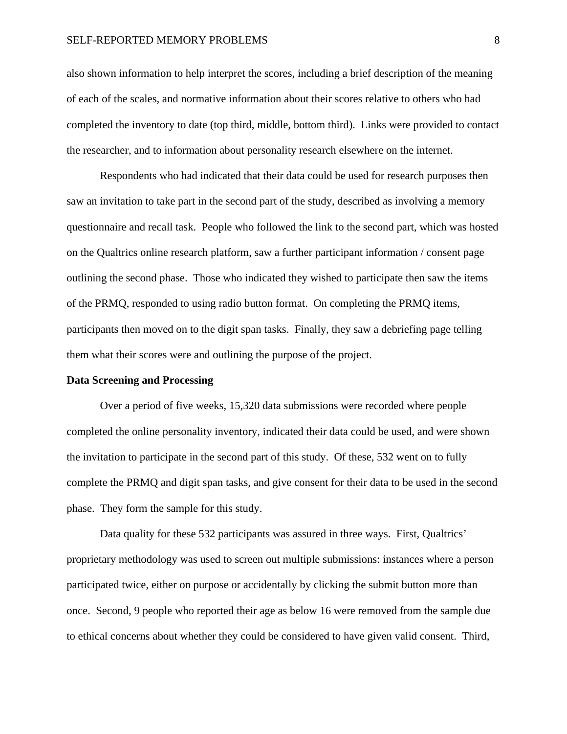#### SELF-REPORTED MEMORY PROBLEMS 8

also shown information to help interpret the scores, including a brief description of the meaning of each of the scales, and normative information about their scores relative to others who had completed the inventory to date (top third, middle, bottom third). Links were provided to contact the researcher, and to information about personality research elsewhere on the internet.

Respondents who had indicated that their data could be used for research purposes then saw an invitation to take part in the second part of the study, described as involving a memory questionnaire and recall task. People who followed the link to the second part, which was hosted on the Qualtrics online research platform, saw a further participant information / consent page outlining the second phase. Those who indicated they wished to participate then saw the items of the PRMQ, responded to using radio button format. On completing the PRMQ items, participants then moved on to the digit span tasks. Finally, they saw a debriefing page telling them what their scores were and outlining the purpose of the project.

### **Data Screening and Processing**

Over a period of five weeks, 15,320 data submissions were recorded where people completed the online personality inventory, indicated their data could be used, and were shown the invitation to participate in the second part of this study. Of these, 532 went on to fully complete the PRMQ and digit span tasks, and give consent for their data to be used in the second phase. They form the sample for this study.

Data quality for these 532 participants was assured in three ways. First, Qualtrics' proprietary methodology was used to screen out multiple submissions: instances where a person participated twice, either on purpose or accidentally by clicking the submit button more than once. Second, 9 people who reported their age as below 16 were removed from the sample due to ethical concerns about whether they could be considered to have given valid consent. Third,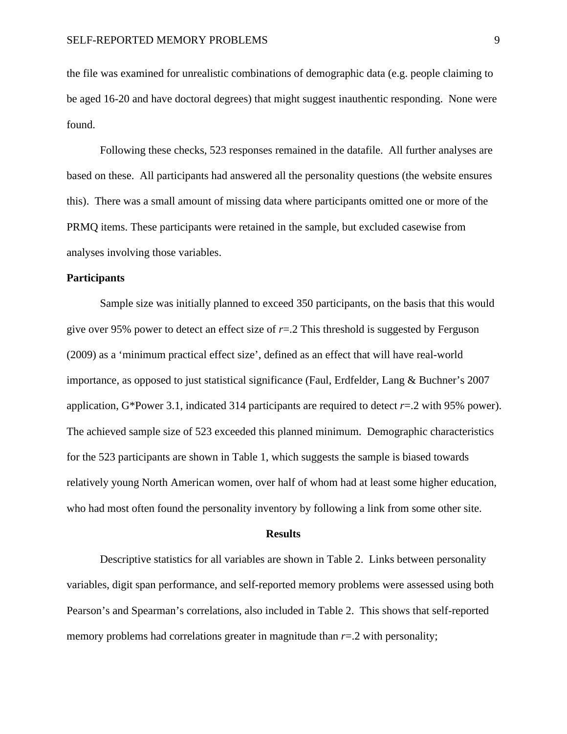the file was examined for unrealistic combinations of demographic data (e.g. people claiming to be aged 16-20 and have doctoral degrees) that might suggest inauthentic responding. None were found.

Following these checks, 523 responses remained in the datafile. All further analyses are based on these. All participants had answered all the personality questions (the website ensures this). There was a small amount of missing data where participants omitted one or more of the PRMQ items. These participants were retained in the sample, but excluded casewise from analyses involving those variables.

### **Participants**

Sample size was initially planned to exceed 350 participants, on the basis that this would give over 95% power to detect an effect size of  $r=2$  This threshold is suggested by Ferguson (2009) as a 'minimum practical effect size', defined as an effect that will have real-world importance, as opposed to just statistical significance (Faul, Erdfelder, Lang & Buchner's 2007 application, G\*Power 3.1, indicated 314 participants are required to detect *r*=.2 with 95% power). The achieved sample size of 523 exceeded this planned minimum. Demographic characteristics for the 523 participants are shown in Table 1, which suggests the sample is biased towards relatively young North American women, over half of whom had at least some higher education, who had most often found the personality inventory by following a link from some other site.

#### **Results**

Descriptive statistics for all variables are shown in Table 2. Links between personality variables, digit span performance, and self-reported memory problems were assessed using both Pearson's and Spearman's correlations, also included in Table 2. This shows that self-reported memory problems had correlations greater in magnitude than  $r=2$  with personality;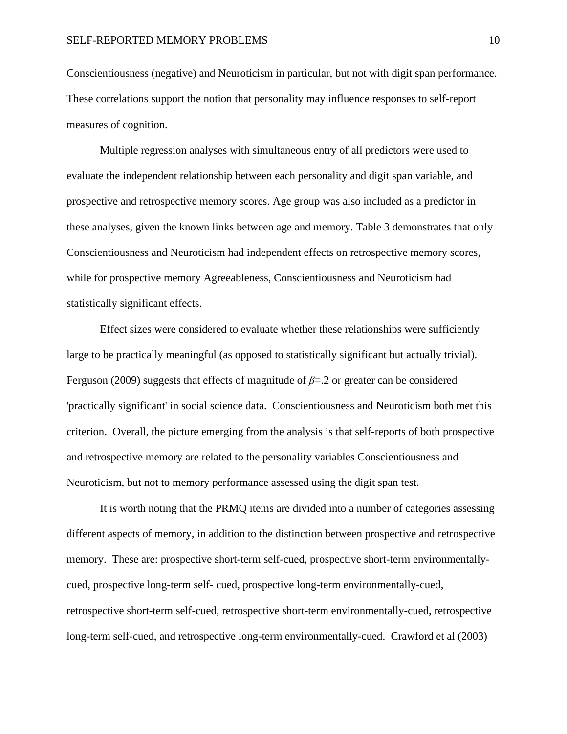Conscientiousness (negative) and Neuroticism in particular, but not with digit span performance. These correlations support the notion that personality may influence responses to self-report measures of cognition.

Multiple regression analyses with simultaneous entry of all predictors were used to evaluate the independent relationship between each personality and digit span variable, and prospective and retrospective memory scores. Age group was also included as a predictor in these analyses, given the known links between age and memory. Table 3 demonstrates that only Conscientiousness and Neuroticism had independent effects on retrospective memory scores, while for prospective memory Agreeableness, Conscientiousness and Neuroticism had statistically significant effects.

Effect sizes were considered to evaluate whether these relationships were sufficiently large to be practically meaningful (as opposed to statistically significant but actually trivial). Ferguson (2009) suggests that effects of magnitude of *β*=.2 or greater can be considered 'practically significant' in social science data. Conscientiousness and Neuroticism both met this criterion. Overall, the picture emerging from the analysis is that self-reports of both prospective and retrospective memory are related to the personality variables Conscientiousness and Neuroticism, but not to memory performance assessed using the digit span test.

It is worth noting that the PRMQ items are divided into a number of categories assessing different aspects of memory, in addition to the distinction between prospective and retrospective memory. These are: prospective short-term self-cued, prospective short-term environmentallycued, prospective long-term self- cued, prospective long-term environmentally-cued, retrospective short-term self-cued, retrospective short-term environmentally-cued, retrospective long-term self-cued, and retrospective long-term environmentally-cued. Crawford et al (2003)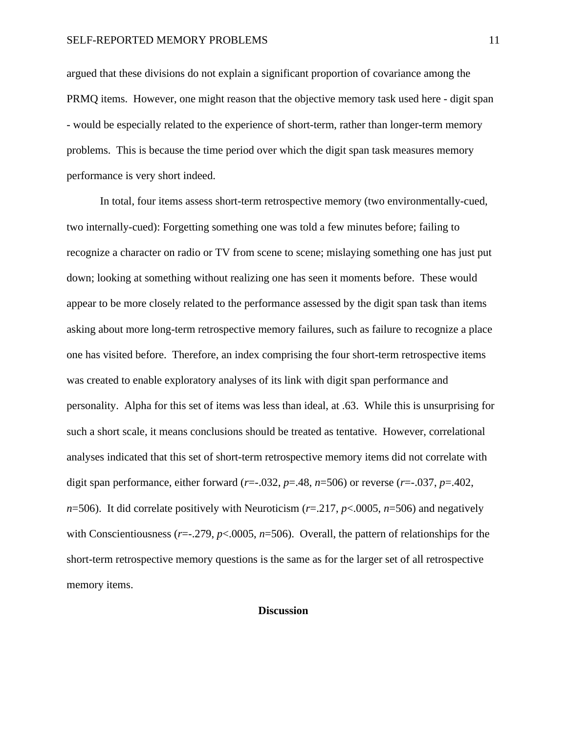argued that these divisions do not explain a significant proportion of covariance among the PRMQ items. However, one might reason that the objective memory task used here - digit span - would be especially related to the experience of short-term, rather than longer-term memory problems. This is because the time period over which the digit span task measures memory performance is very short indeed.

In total, four items assess short-term retrospective memory (two environmentally-cued, two internally-cued): Forgetting something one was told a few minutes before; failing to recognize a character on radio or TV from scene to scene; mislaying something one has just put down; looking at something without realizing one has seen it moments before. These would appear to be more closely related to the performance assessed by the digit span task than items asking about more long-term retrospective memory failures, such as failure to recognize a place one has visited before. Therefore, an index comprising the four short-term retrospective items was created to enable exploratory analyses of its link with digit span performance and personality. Alpha for this set of items was less than ideal, at .63. While this is unsurprising for such a short scale, it means conclusions should be treated as tentative. However, correlational analyses indicated that this set of short-term retrospective memory items did not correlate with digit span performance, either forward ( $r=-.032$ ,  $p=.48$ ,  $n=506$ ) or reverse ( $r=-.037$ ,  $p=.402$ , *n*=506). It did correlate positively with Neuroticism ( $r$ =.217,  $p$ <.0005,  $n$ =506) and negatively with Conscientiousness (*r*=-.279, *p*<.0005, *n*=506). Overall, the pattern of relationships for the short-term retrospective memory questions is the same as for the larger set of all retrospective memory items.

#### **Discussion**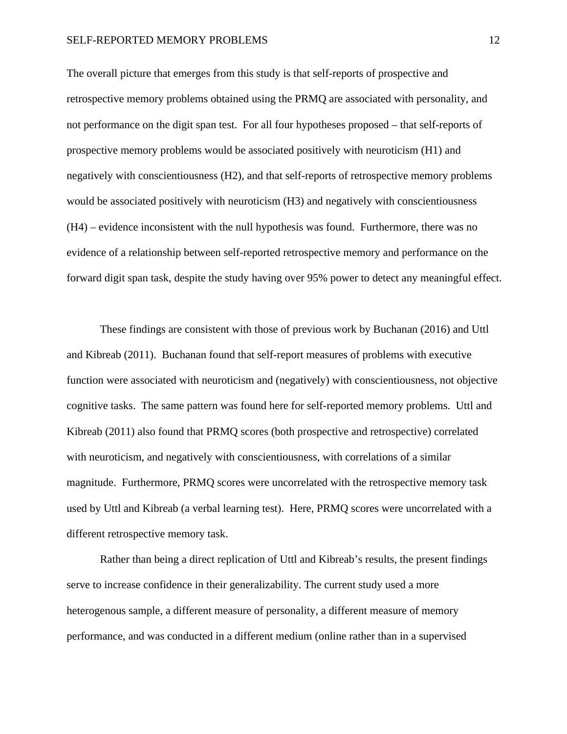#### SELF-REPORTED MEMORY PROBLEMS 12

The overall picture that emerges from this study is that self-reports of prospective and retrospective memory problems obtained using the PRMQ are associated with personality, and not performance on the digit span test. For all four hypotheses proposed – that self-reports of prospective memory problems would be associated positively with neuroticism (H1) and negatively with conscientiousness (H2), and that self-reports of retrospective memory problems would be associated positively with neuroticism (H3) and negatively with conscientiousness (H4) – evidence inconsistent with the null hypothesis was found. Furthermore, there was no evidence of a relationship between self-reported retrospective memory and performance on the forward digit span task, despite the study having over 95% power to detect any meaningful effect.

These findings are consistent with those of previous work by Buchanan (2016) and Uttl and Kibreab (2011). Buchanan found that self-report measures of problems with executive function were associated with neuroticism and (negatively) with conscientiousness, not objective cognitive tasks. The same pattern was found here for self-reported memory problems. Uttl and Kibreab (2011) also found that PRMQ scores (both prospective and retrospective) correlated with neuroticism, and negatively with conscientiousness, with correlations of a similar magnitude. Furthermore, PRMQ scores were uncorrelated with the retrospective memory task used by Uttl and Kibreab (a verbal learning test). Here, PRMQ scores were uncorrelated with a different retrospective memory task.

Rather than being a direct replication of Uttl and Kibreab's results, the present findings serve to increase confidence in their generalizability. The current study used a more heterogenous sample, a different measure of personality, a different measure of memory performance, and was conducted in a different medium (online rather than in a supervised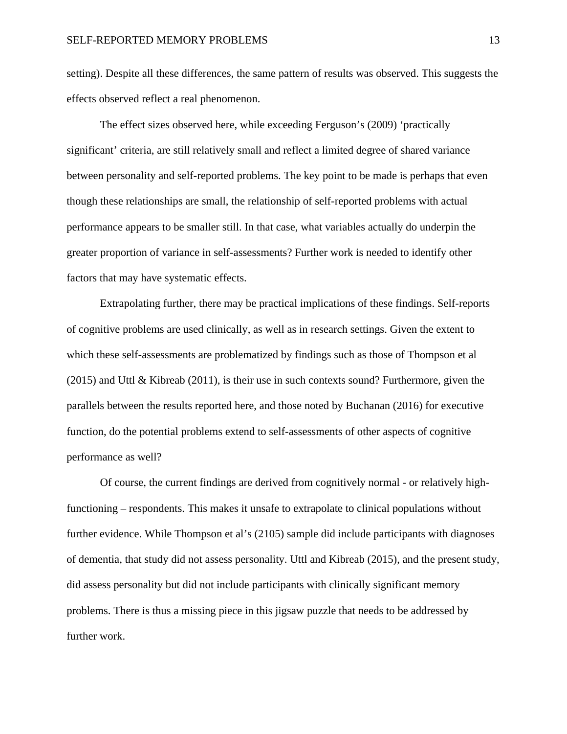setting). Despite all these differences, the same pattern of results was observed. This suggests the effects observed reflect a real phenomenon.

The effect sizes observed here, while exceeding Ferguson's (2009) 'practically significant' criteria, are still relatively small and reflect a limited degree of shared variance between personality and self-reported problems. The key point to be made is perhaps that even though these relationships are small, the relationship of self-reported problems with actual performance appears to be smaller still. In that case, what variables actually do underpin the greater proportion of variance in self-assessments? Further work is needed to identify other factors that may have systematic effects.

Extrapolating further, there may be practical implications of these findings. Self-reports of cognitive problems are used clinically, as well as in research settings. Given the extent to which these self-assessments are problematized by findings such as those of Thompson et al (2015) and Uttl & Kibreab (2011), is their use in such contexts sound? Furthermore, given the parallels between the results reported here, and those noted by Buchanan (2016) for executive function, do the potential problems extend to self-assessments of other aspects of cognitive performance as well?

Of course, the current findings are derived from cognitively normal - or relatively highfunctioning – respondents. This makes it unsafe to extrapolate to clinical populations without further evidence. While Thompson et al's (2105) sample did include participants with diagnoses of dementia, that study did not assess personality. Uttl and Kibreab (2015), and the present study, did assess personality but did not include participants with clinically significant memory problems. There is thus a missing piece in this jigsaw puzzle that needs to be addressed by further work.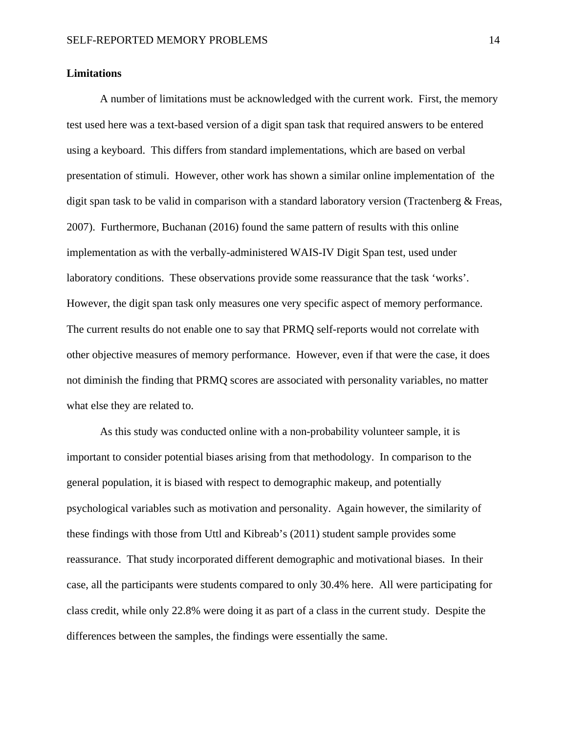#### **Limitations**

A number of limitations must be acknowledged with the current work. First, the memory test used here was a text-based version of a digit span task that required answers to be entered using a keyboard. This differs from standard implementations, which are based on verbal presentation of stimuli. However, other work has shown a similar online implementation of the digit span task to be valid in comparison with a standard laboratory version (Tractenberg & Freas, 2007). Furthermore, Buchanan (2016) found the same pattern of results with this online implementation as with the verbally-administered WAIS-IV Digit Span test, used under laboratory conditions. These observations provide some reassurance that the task 'works'. However, the digit span task only measures one very specific aspect of memory performance. The current results do not enable one to say that PRMQ self-reports would not correlate with other objective measures of memory performance. However, even if that were the case, it does not diminish the finding that PRMQ scores are associated with personality variables, no matter what else they are related to.

As this study was conducted online with a non-probability volunteer sample, it is important to consider potential biases arising from that methodology. In comparison to the general population, it is biased with respect to demographic makeup, and potentially psychological variables such as motivation and personality. Again however, the similarity of these findings with those from Uttl and Kibreab's (2011) student sample provides some reassurance. That study incorporated different demographic and motivational biases. In their case, all the participants were students compared to only 30.4% here. All were participating for class credit, while only 22.8% were doing it as part of a class in the current study. Despite the differences between the samples, the findings were essentially the same.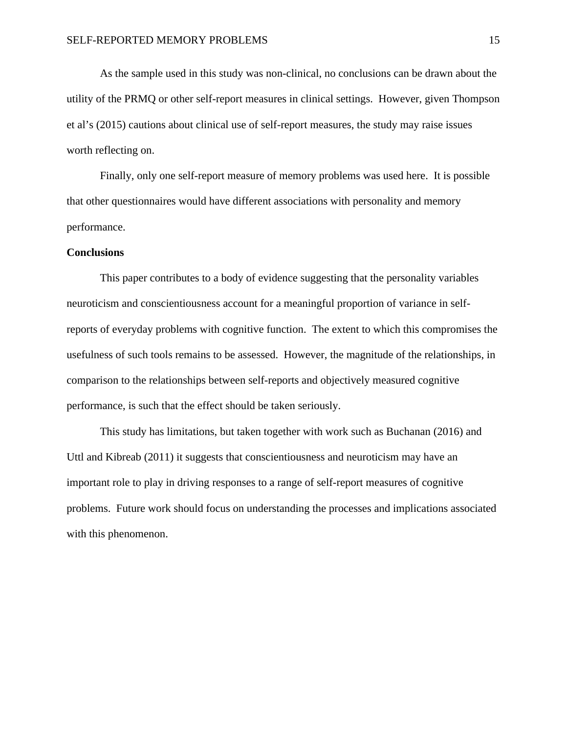As the sample used in this study was non-clinical, no conclusions can be drawn about the utility of the PRMQ or other self-report measures in clinical settings. However, given Thompson et al's (2015) cautions about clinical use of self-report measures, the study may raise issues worth reflecting on.

Finally, only one self-report measure of memory problems was used here. It is possible that other questionnaires would have different associations with personality and memory performance.

### **Conclusions**

This paper contributes to a body of evidence suggesting that the personality variables neuroticism and conscientiousness account for a meaningful proportion of variance in selfreports of everyday problems with cognitive function. The extent to which this compromises the usefulness of such tools remains to be assessed. However, the magnitude of the relationships, in comparison to the relationships between self-reports and objectively measured cognitive performance, is such that the effect should be taken seriously.

This study has limitations, but taken together with work such as Buchanan (2016) and Uttl and Kibreab (2011) it suggests that conscientiousness and neuroticism may have an important role to play in driving responses to a range of self-report measures of cognitive problems. Future work should focus on understanding the processes and implications associated with this phenomenon.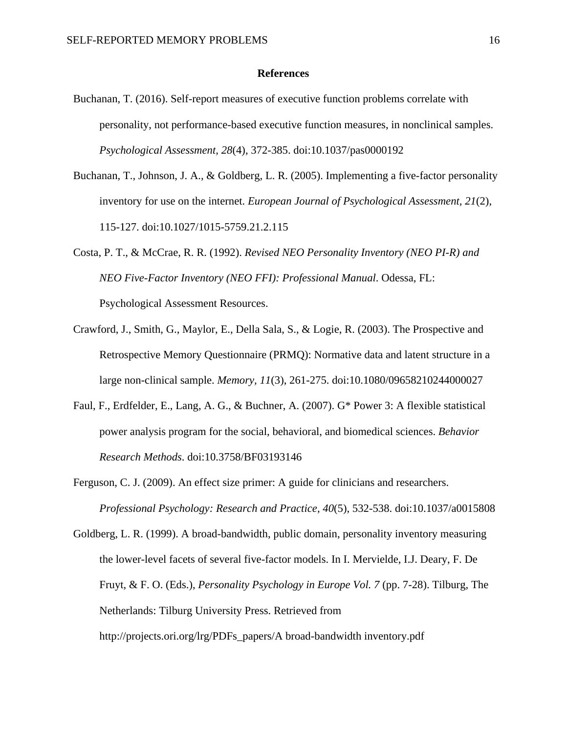#### **References**

- Buchanan, T. (2016). Self-report measures of executive function problems correlate with personality, not performance-based executive function measures, in nonclinical samples. *Psychological Assessment, 28*(4), 372-385. doi:10.1037/pas0000192
- Buchanan, T., Johnson, J. A., & Goldberg, L. R. (2005). Implementing a five-factor personality inventory for use on the internet. *European Journal of Psychological Assessment, 21*(2), 115-127. doi:10.1027/1015-5759.21.2.115
- Costa, P. T., & McCrae, R. R. (1992). *Revised NEO Personality Inventory (NEO PI-R) and NEO Five-Factor Inventory (NEO FFI): Professional Manual*. Odessa, FL: Psychological Assessment Resources.
- Crawford, J., Smith, G., Maylor, E., Della Sala, S., & Logie, R. (2003). The Prospective and Retrospective Memory Questionnaire (PRMQ): Normative data and latent structure in a large non-clinical sample. *Memory, 11*(3), 261-275. doi:10.1080/09658210244000027
- Faul, F., Erdfelder, E., Lang, A. G., & Buchner, A. (2007). G\* Power 3: A flexible statistical power analysis program for the social, behavioral, and biomedical sciences. *Behavior Research Methods*. doi:10.3758/BF03193146
- Ferguson, C. J. (2009). An effect size primer: A guide for clinicians and researchers. *Professional Psychology: Research and Practice, 40*(5), 532-538. doi:10.1037/a0015808

Goldberg, L. R. (1999). A broad-bandwidth, public domain, personality inventory measuring the lower-level facets of several five-factor models. In I. Mervielde, I.J. Deary, F. De Fruyt, & F. O. (Eds.), *Personality Psychology in Europe Vol. 7* (pp. 7-28). Tilburg, The Netherlands: Tilburg University Press. Retrieved from http://projects.ori.org/lrg/PDFs\_papers/A broad-bandwidth inventory.pdf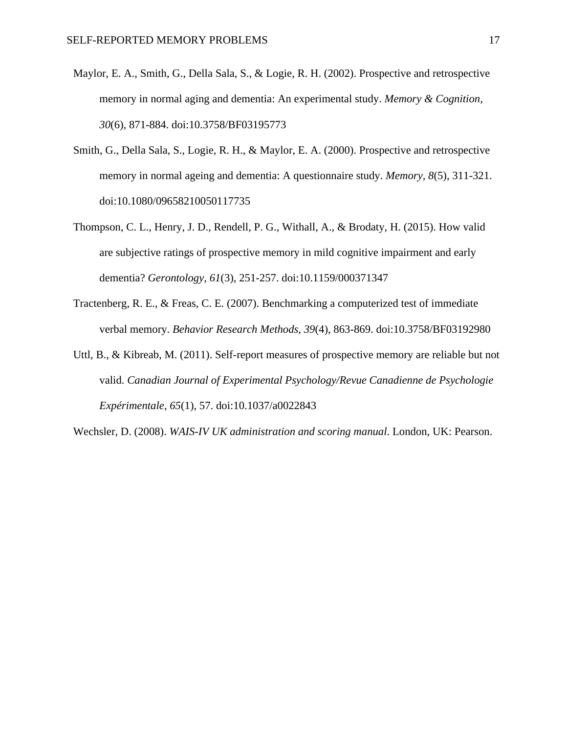- Maylor, E. A., Smith, G., Della Sala, S., & Logie, R. H. (2002). Prospective and retrospective memory in normal aging and dementia: An experimental study. *Memory & Cognition, 30*(6), 871-884. doi:10.3758/BF03195773
- Smith, G., Della Sala, S., Logie, R. H., & Maylor, E. A. (2000). Prospective and retrospective memory in normal ageing and dementia: A questionnaire study. *Memory, 8*(5), 311-321. doi:10.1080/09658210050117735
- Thompson, C. L., Henry, J. D., Rendell, P. G., Withall, A., & Brodaty, H. (2015). How valid are subjective ratings of prospective memory in mild cognitive impairment and early dementia? *Gerontology, 61*(3), 251-257. doi:10.1159/000371347
- Tractenberg, R. E., & Freas, C. E. (2007). Benchmarking a computerized test of immediate verbal memory. *Behavior Research Methods, 39*(4), 863-869. doi:10.3758/BF03192980
- Uttl, B., & Kibreab, M. (2011). Self-report measures of prospective memory are reliable but not valid. *Canadian Journal of Experimental Psychology/Revue Canadienne de Psychologie Expérimentale, 65*(1), 57. doi:10.1037/a0022843
- Wechsler, D. (2008). *WAIS-IV UK administration and scoring manual*. London, UK: Pearson.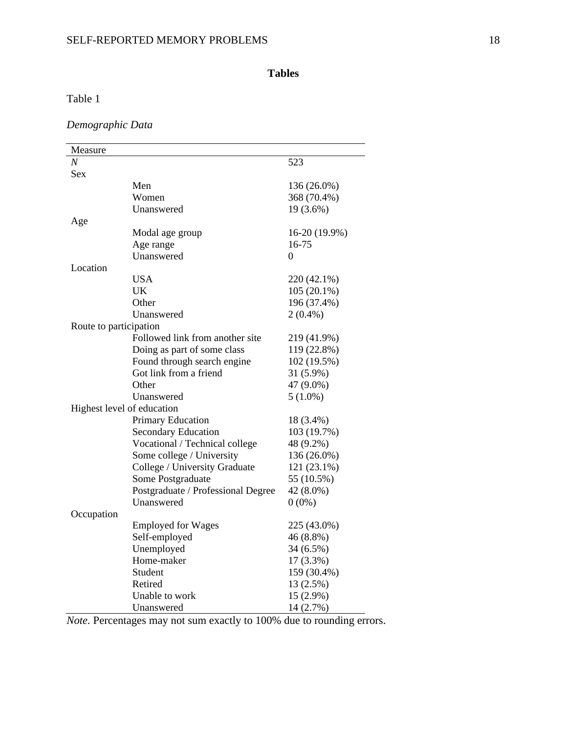# **Tables**

# Table 1

*Demographic Data*

| Measure                    |                                    |                  |  |  |  |
|----------------------------|------------------------------------|------------------|--|--|--|
| $\boldsymbol{N}$           |                                    | 523              |  |  |  |
| Sex                        |                                    |                  |  |  |  |
|                            | Men                                | 136 (26.0%)      |  |  |  |
|                            | Women                              | 368 (70.4%)      |  |  |  |
|                            | Unanswered                         | 19 (3.6%)        |  |  |  |
| Age                        |                                    |                  |  |  |  |
|                            | Modal age group                    | 16-20 (19.9%)    |  |  |  |
|                            | Age range                          | 16-75            |  |  |  |
|                            | Unanswered                         | $\boldsymbol{0}$ |  |  |  |
| Location                   |                                    |                  |  |  |  |
|                            | <b>USA</b>                         | 220 (42.1%)      |  |  |  |
|                            | UK                                 | $105(20.1\%)$    |  |  |  |
|                            | Other                              | 196 (37.4%)      |  |  |  |
|                            | Unanswered                         | $2(0.4\%)$       |  |  |  |
| Route to participation     |                                    |                  |  |  |  |
|                            | Followed link from another site    | 219 (41.9%)      |  |  |  |
|                            | Doing as part of some class        | 119 (22.8%)      |  |  |  |
|                            | Found through search engine        | 102 (19.5%)      |  |  |  |
|                            | Got link from a friend             | 31 (5.9%)        |  |  |  |
|                            | Other                              | 47 (9.0%)        |  |  |  |
|                            | Unanswered                         | $5(1.0\%)$       |  |  |  |
| Highest level of education |                                    |                  |  |  |  |
|                            | Primary Education                  | 18 (3.4%)        |  |  |  |
|                            | <b>Secondary Education</b>         | 103 (19.7%)      |  |  |  |
|                            | Vocational / Technical college     | 48 (9.2%)        |  |  |  |
|                            | Some college / University          | 136 (26.0%)      |  |  |  |
|                            | College / University Graduate      | 121 (23.1%)      |  |  |  |
|                            | Some Postgraduate                  | 55 (10.5%)       |  |  |  |
|                            | Postgraduate / Professional Degree | 42 (8.0%)        |  |  |  |
|                            | Unanswered                         | $0(0\%)$         |  |  |  |
| Occupation                 |                                    |                  |  |  |  |
|                            | <b>Employed for Wages</b>          | 225 (43.0%)      |  |  |  |
|                            | Self-employed                      | 46 (8.8%)        |  |  |  |
|                            | Unemployed                         | 34 (6.5%)        |  |  |  |
|                            | Home-maker                         | $17(3.3\%)$      |  |  |  |
|                            | Student                            | 159 (30.4%)      |  |  |  |
|                            | Retired                            | 13 (2.5%)        |  |  |  |
|                            | Unable to work                     | 15 (2.9%)        |  |  |  |
|                            | Unanswered                         | 14 (2.7%)        |  |  |  |

*Note.* Percentages may not sum exactly to 100% due to rounding errors.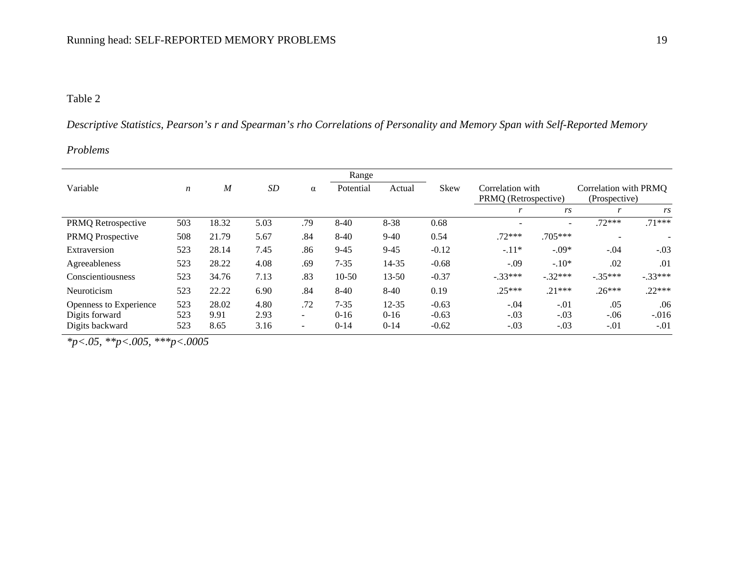# Table 2

Descriptive Statistics, Pearson's r and Spearman's rho Correlations of Personality and Memory Span with Self-Reported Memory

# *Problems*

|                                                             |                   |                       |                      |                                           | Range                          |                                 |                               |                                          |                            |                                        |                          |
|-------------------------------------------------------------|-------------------|-----------------------|----------------------|-------------------------------------------|--------------------------------|---------------------------------|-------------------------------|------------------------------------------|----------------------------|----------------------------------------|--------------------------|
| Variable                                                    | $\boldsymbol{n}$  | $\boldsymbol{M}$      | <b>SD</b>            | α                                         | Potential                      | Actual                          | Skew                          | Correlation with<br>PRMQ (Retrospective) |                            | Correlation with PRMO<br>(Prospective) |                          |
|                                                             |                   |                       |                      |                                           |                                |                                 |                               |                                          | rs                         | r                                      | rs                       |
| PRMQ Retrospective                                          | 503               | 18.32                 | 5.03                 | .79                                       | $8-40$                         | $8 - 38$                        | 0.68                          |                                          | $\overline{\phantom{0}}$   | $.72***$                               | $.71***$                 |
| PRMQ Prospective                                            | 508               | 21.79                 | 5.67                 | .84                                       | $8-40$                         | $9 - 40$                        | 0.54                          | $.72***$                                 | $.705***$                  | $\qquad \qquad \blacksquare$           |                          |
| Extraversion                                                | 523               | 28.14                 | 7.45                 | .86                                       | $9-45$                         | $9 - 45$                        | $-0.12$                       | $-.11*$                                  | $-.09*$                    | $-.04$                                 | $-.03$                   |
| Agreeableness                                               | 523               | 28.22                 | 4.08                 | .69                                       | $7 - 35$                       | 14-35                           | $-0.68$                       | $-.09$                                   | $-.10*$                    | .02                                    | .01                      |
| Conscientiousness                                           | 523               | 34.76                 | 7.13                 | .83                                       | $10 - 50$                      | $13 - 50$                       | $-0.37$                       | $-.33***$                                | $-.32***$                  | $-.35***$                              | $-.33***$                |
| Neuroticism                                                 | 523               | 22.22                 | 6.90                 | .84                                       | $8-40$                         | $8-40$                          | 0.19                          | $.25***$                                 | $.21***$                   | $.26***$                               | $.22***$                 |
| Openness to Experience<br>Digits forward<br>Digits backward | 523<br>523<br>523 | 28.02<br>9.91<br>8.65 | 4.80<br>2.93<br>3.16 | .72<br>$\sim$<br>$\overline{\phantom{a}}$ | $7 - 35$<br>$0 - 16$<br>$0-14$ | $12 - 35$<br>$0 - 16$<br>$0-14$ | $-0.63$<br>$-0.63$<br>$-0.62$ | $-.04$<br>$-.03$<br>$-.03$               | $-.01$<br>$-.03$<br>$-.03$ | .05<br>$-.06$<br>$-.01$                | .06<br>$-.016$<br>$-.01$ |

*\*p<.05, \*\*p<.005, \*\*\*p<.0005*